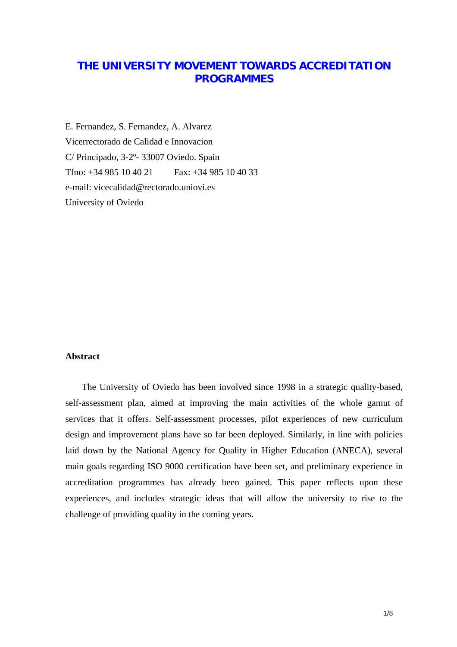# **THE UNIVERSITY MOVEMENT TOWARDS ACCREDITATION PROGRAMMES**

E. Fernandez, S. Fernandez, A. Alvarez Vicerrectorado de Calidad e Innovacion C/ Principado, 3-2º- 33007 Oviedo. Spain Tfno: +34 985 10 40 21 Fax: +34 985 10 40 33 e-mail: [vicecalidad@rectorado.uniovi.es](mailto:vicecalidad@rectorado.uniovi.es)  University of Oviedo

#### **Abstract**

The University of Oviedo has been involved since 1998 in a strategic quality-based, self-assessment plan, aimed at improving the main activities of the whole gamut of services that it offers. Self-assessment processes, pilot experiences of new curriculum design and improvement plans have so far been deployed. Similarly, in line with policies laid down by the National Agency for Quality in Higher Education (ANECA), several main goals regarding ISO 9000 certification have been set, and preliminary experience in accreditation programmes has already been gained. This paper reflects upon these experiences, and includes strategic ideas that will allow the university to rise to the challenge of providing quality in the coming years.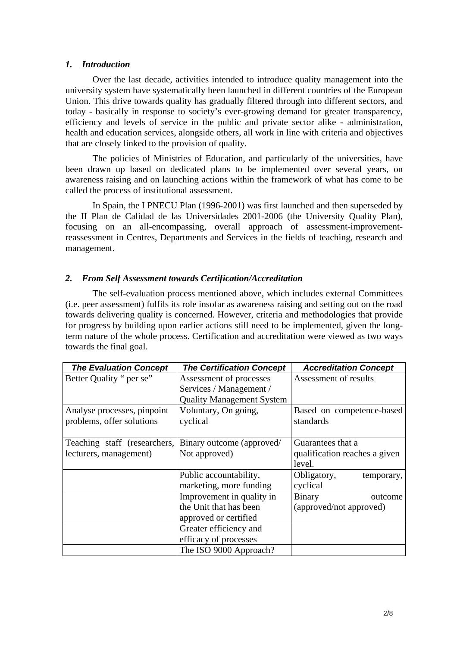#### *1. Introduction*

Over the last decade, activities intended to introduce quality management into the university system have systematically been launched in different countries of the European Union. This drive towards quality has gradually filtered through into different sectors, and today - basically in response to society's ever-growing demand for greater transparency, efficiency and levels of service in the public and private sector alike - administration, health and education services, alongside others, all work in line with criteria and objectives that are closely linked to the provision of quality.

The policies of Ministries of Education, and particularly of the universities, have been drawn up based on dedicated plans to be implemented over several years, on awareness raising and on launching actions within the framework of what has come to be called the process of institutional assessment.

In Spain, the I PNECU Plan (1996-2001) was first launched and then superseded by the II Plan de Calidad de las Universidades 2001-2006 (the University Quality Plan), focusing on an all-encompassing, overall approach of assessment-improvementreassessment in Centres, Departments and Services in the fields of teaching, research and management.

### *2. From Self Assessment towards Certification/Accreditation*

The self-evaluation process mentioned above, which includes external Committees (i.e. peer assessment) fulfils its role insofar as awareness raising and setting out on the road towards delivering quality is concerned. However, criteria and methodologies that provide for progress by building upon earlier actions still need to be implemented, given the longterm nature of the whole process. Certification and accreditation were viewed as two ways towards the final goal.

| <b>The Evaluation Concept</b> | <b>The Certification Concept</b> | <b>Accreditation Concept</b>  |
|-------------------------------|----------------------------------|-------------------------------|
| Better Quality " per se"      | Assessment of processes          | Assessment of results         |
|                               | Services / Management /          |                               |
|                               | <b>Quality Management System</b> |                               |
| Analyse processes, pinpoint   | Voluntary, On going,             | Based on competence-based     |
| problems, offer solutions     | cyclical                         | standards                     |
|                               |                                  |                               |
| Teaching staff (researchers,  | Binary outcome (approved/        | Guarantees that a             |
| lecturers, management)        | Not approved)                    | qualification reaches a given |
|                               |                                  | level.                        |
|                               | Public accountability,           | Obligatory,<br>temporary,     |
|                               | marketing, more funding          | cyclical                      |
|                               | Improvement in quality in        | <b>Binary</b><br>outcome      |
|                               | the Unit that has been           | (approved/not approved)       |
|                               | approved or certified            |                               |
|                               | Greater efficiency and           |                               |
|                               | efficacy of processes            |                               |
|                               | The ISO 9000 Approach?           |                               |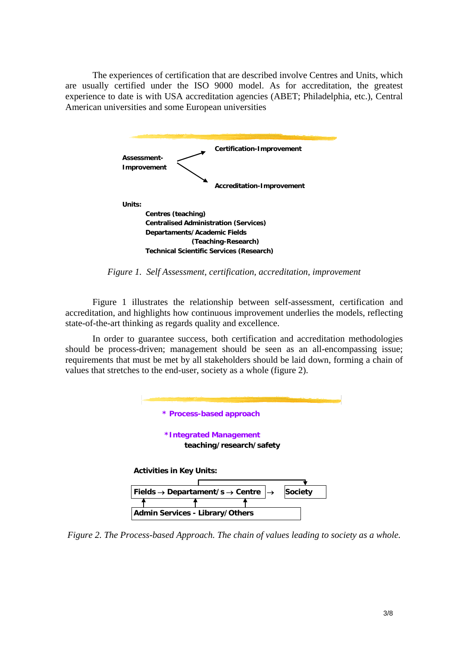The experiences of certification that are described involve Centres and Units, which are usually certified under the ISO 9000 model. As for accreditation, the greatest experience to date is with USA accreditation agencies (ABET; Philadelphia, etc.), Central American universities and some European universities



*Figure 1. Self Assessment, certification, accreditation, improvement* 

Figure 1 illustrates the relationship between self-assessment, certification and accreditation, and highlights how continuous improvement underlies the models, reflecting state-of-the-art thinking as regards quality and excellence.

In order to guarantee success, both certification and accreditation methodologies should be process-driven; management should be seen as an all-encompassing issue; requirements that must be met by all stakeholders should be laid down, forming a chain of values that stretches to the end-user, society as a whole (figure 2).



*Figure 2. The Process-based Approach. The chain of values leading to society as a whole.*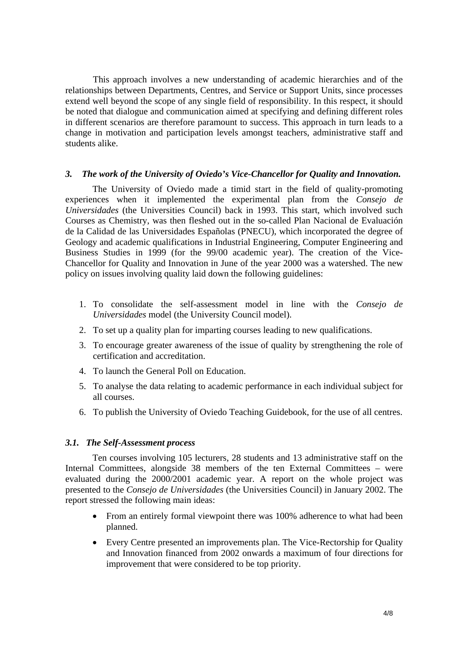This approach involves a new understanding of academic hierarchies and of the relationships between Departments, Centres, and Service or Support Units, since processes extend well beyond the scope of any single field of responsibility. In this respect, it should be noted that dialogue and communication aimed at specifying and defining different roles in different scenarios are therefore paramount to success. This approach in turn leads to a change in motivation and participation levels amongst teachers, administrative staff and students alike.

#### *3. The work of the University of Oviedo's Vice-Chancellor for Quality and Innovation.*

The University of Oviedo made a timid start in the field of quality-promoting experiences when it implemented the experimental plan from the *Consejo de Universidades* (the Universities Council) back in 1993. This start, which involved such Courses as Chemistry, was then fleshed out in the so-called Plan Nacional de Evaluación de la Calidad de las Universidades Españolas (PNECU), which incorporated the degree of Geology and academic qualifications in Industrial Engineering, Computer Engineering and Business Studies in 1999 (for the 99/00 academic year). The creation of the Vice-Chancellor for Quality and Innovation in June of the year 2000 was a watershed. The new policy on issues involving quality laid down the following guidelines:

- 1. To consolidate the self-assessment model in line with the *Consejo de Universidades* model (the University Council model).
- 2. To set up a quality plan for imparting courses leading to new qualifications.
- 3. To encourage greater awareness of the issue of quality by strengthening the role of certification and accreditation.
- 4. To launch the General Poll on Education.
- 5. To analyse the data relating to academic performance in each individual subject for all courses.
- 6. To publish the University of Oviedo Teaching Guidebook, for the use of all centres.

#### *3.1. The Self-Assessment process*

Ten courses involving 105 lecturers, 28 students and 13 administrative staff on the Internal Committees, alongside 38 members of the ten External Committees – were evaluated during the 2000/2001 academic year. A report on the whole project was presented to the *Consejo de Universidades* (the Universities Council) in January 2002. The report stressed the following main ideas:

- From an entirely formal viewpoint there was 100% adherence to what had been planned.
- Every Centre presented an improvements plan. The Vice-Rectorship for Quality and Innovation financed from 2002 onwards a maximum of four directions for improvement that were considered to be top priority.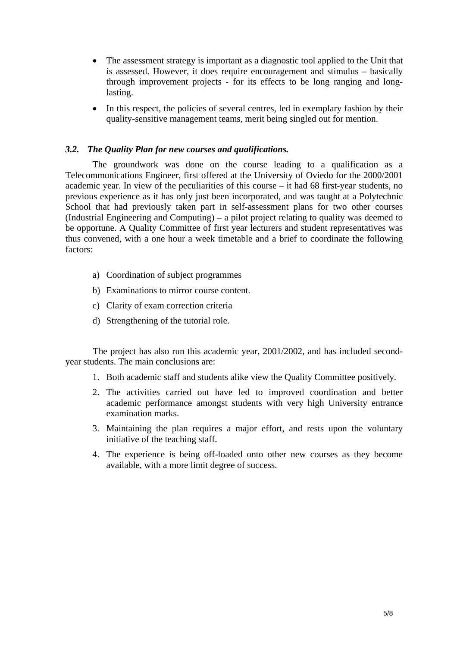- The assessment strategy is important as a diagnostic tool applied to the Unit that is assessed. However, it does require encouragement and stimulus – basically through improvement projects - for its effects to be long ranging and longlasting.
- In this respect, the policies of several centres, led in exemplary fashion by their quality-sensitive management teams, merit being singled out for mention.

## *3.2. The Quality Plan for new courses and qualifications.*

The groundwork was done on the course leading to a qualification as a Telecommunications Engineer, first offered at the University of Oviedo for the 2000/2001 academic year. In view of the peculiarities of this course – it had 68 first-year students, no previous experience as it has only just been incorporated, and was taught at a Polytechnic School that had previously taken part in self-assessment plans for two other courses (Industrial Engineering and Computing) – a pilot project relating to quality was deemed to be opportune. A Quality Committee of first year lecturers and student representatives was thus convened, with a one hour a week timetable and a brief to coordinate the following factors:

- a) Coordination of subject programmes
- b) Examinations to mirror course content.
- c) Clarity of exam correction criteria
- d) Strengthening of the tutorial role.

The project has also run this academic year, 2001/2002, and has included secondyear students. The main conclusions are:

- 1. Both academic staff and students alike view the Quality Committee positively.
- 2. The activities carried out have led to improved coordination and better academic performance amongst students with very high University entrance examination marks.
- 3. Maintaining the plan requires a major effort, and rests upon the voluntary initiative of the teaching staff.
- 4. The experience is being off-loaded onto other new courses as they become available, with a more limit degree of success.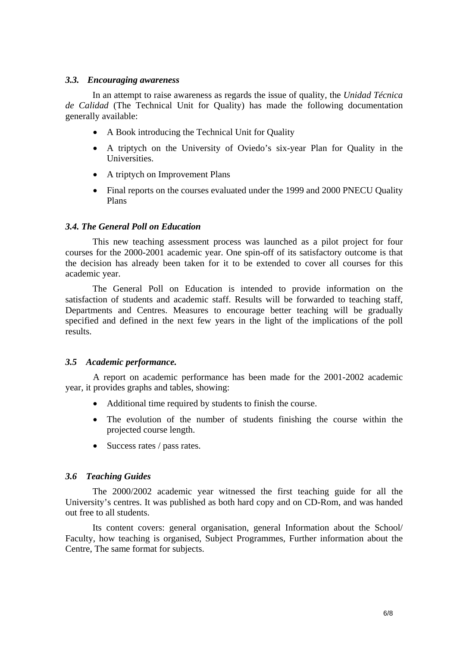#### *3.3. Encouraging awareness*

In an attempt to raise awareness as regards the issue of quality, the *Unidad Técnica de Calidad* (The Technical Unit for Quality) has made the following documentation generally available:

- A Book introducing the Technical Unit for Quality
- A triptych on the University of Oviedo's six-year Plan for Quality in the **Universities**
- A triptych on Improvement Plans
- Final reports on the courses evaluated under the 1999 and 2000 PNECU Quality Plans

# *3.4. The General Poll on Education*

This new teaching assessment process was launched as a pilot project for four courses for the 2000-2001 academic year. One spin-off of its satisfactory outcome is that the decision has already been taken for it to be extended to cover all courses for this academic year.

The General Poll on Education is intended to provide information on the satisfaction of students and academic staff. Results will be forwarded to teaching staff, Departments and Centres. Measures to encourage better teaching will be gradually specified and defined in the next few years in the light of the implications of the poll results.

### *3.5 Academic performance.*

A report on academic performance has been made for the 2001-2002 academic year, it provides graphs and tables, showing:

- Additional time required by students to finish the course.
- The evolution of the number of students finishing the course within the projected course length.
- Success rates / pass rates.

### *3.6 Teaching Guides*

The 2000/2002 academic year witnessed the first teaching guide for all the University's centres. It was published as both hard copy and on CD-Rom, and was handed out free to all students.

Its content covers: general organisation, general Information about the School/ Faculty, how teaching is organised, Subject Programmes, Further information about the Centre, The same format for subjects.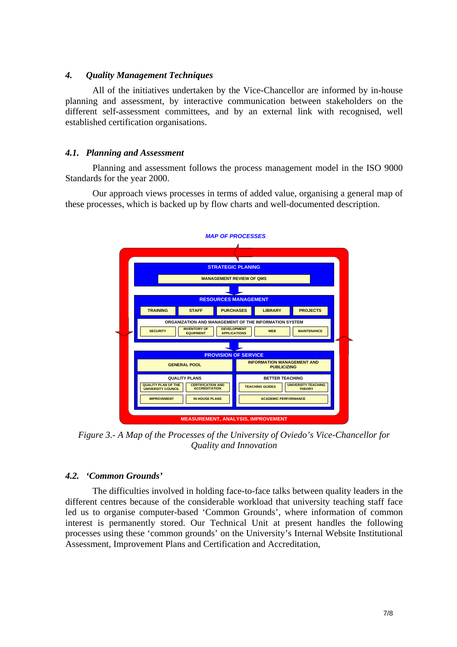### *4. Quality Management Techniques*

All of the initiatives undertaken by the Vice-Chancellor are informed by in-house planning and assessment, by interactive communication between stakeholders on the different self-assessment committees, and by an external link with recognised, well established certification organisations.

# *4.1. Planning and Assessment*

Planning and assessment follows the process management model in the ISO 9000 Standards for the year 2000.

Our approach views processes in terms of added value, organising a general map of these processes, which is backed up by flow charts and well-documented description.



*Figure 3.- A Map of the Processes of the University of Oviedo's Vice-Chancellor for Quality and Innovation* 

# *4.2. 'Common Grounds'*

The difficulties involved in holding face-to-face talks between quality leaders in the different centres because of the considerable workload that university teaching staff face led us to organise computer-based 'Common Grounds', where information of common interest is permanently stored. Our Technical Unit at present handles the following processes using these 'common grounds' on the University's Internal Website Institutional Assessment, Improvement Plans and Certification and Accreditation,